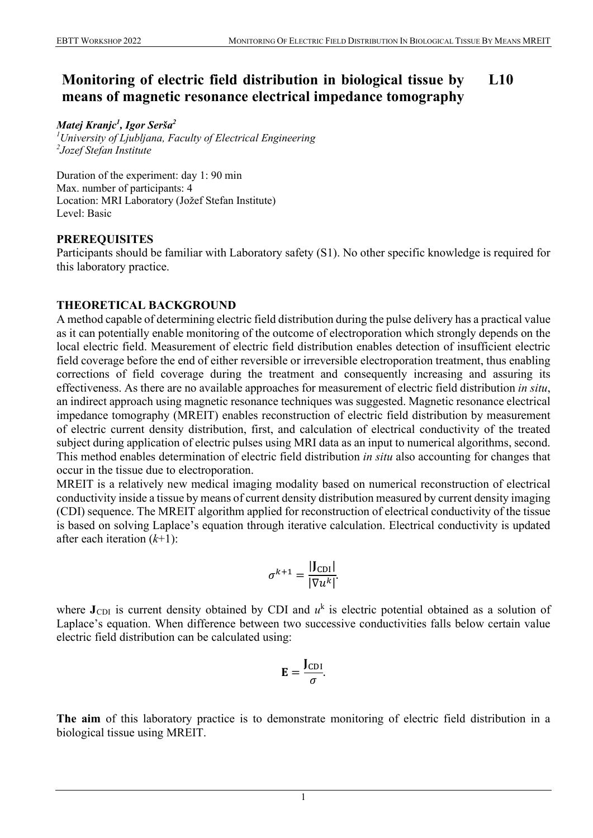#### **Monitoring of electric field distribution in biological tissue by means of magnetic resonance electrical impedance tomography L10**

*Matej Kranjc1 , Igor Serša2*

*1 University of Ljubljana, Faculty of Electrical Engineering 2 Jozef Stefan Institute*

Duration of the experiment: day 1: 90 min Max. number of participants: 4 Location: MRI Laboratory (Jožef Stefan Institute) Level: Basic

## **PREREQUISITES**

Participants should be familiar with Laboratory safety (S1). No other specific knowledge is required for this laboratory practice.

## **THEORETICAL BACKGROUND**

A method capable of determining electric field distribution during the pulse delivery has a practical value as it can potentially enable monitoring of the outcome of electroporation which strongly depends on the local electric field. Measurement of electric field distribution enables detection of insufficient electric field coverage before the end of either reversible or irreversible electroporation treatment, thus enabling corrections of field coverage during the treatment and consequently increasing and assuring its effectiveness. As there are no available approaches for measurement of electric field distribution *in situ*, an indirect approach using magnetic resonance techniques was suggested. Magnetic resonance electrical impedance tomography (MREIT) enables reconstruction of electric field distribution by measurement of electric current density distribution, first, and calculation of electrical conductivity of the treated subject during application of electric pulses using MRI data as an input to numerical algorithms, second. This method enables determination of electric field distribution *in situ* also accounting for changes that occur in the tissue due to electroporation.

MREIT is a relatively new medical imaging modality based on numerical reconstruction of electrical conductivity inside a tissue by means of current density distribution measured by current density imaging (CDI) sequence. The MREIT algorithm applied for reconstruction of electrical conductivity of the tissue is based on solving Laplace's equation through iterative calculation. Electrical conductivity is updated after each iteration (*k*+1):

$$
\sigma^{k+1} = \frac{|\mathbf{J}_{\text{CDI}}|}{|\nabla u^k|}.
$$

where  $J_{CDI}$  is current density obtained by CDI and  $u<sup>k</sup>$  is electric potential obtained as a solution of Laplace's equation. When difference between two successive conductivities falls below certain value electric field distribution can be calculated using:

$$
\mathbf{E}=\frac{\mathbf{J}_{\rm CDI}}{\sigma}.
$$

**The aim** of this laboratory practice is to demonstrate monitoring of electric field distribution in a biological tissue using MREIT.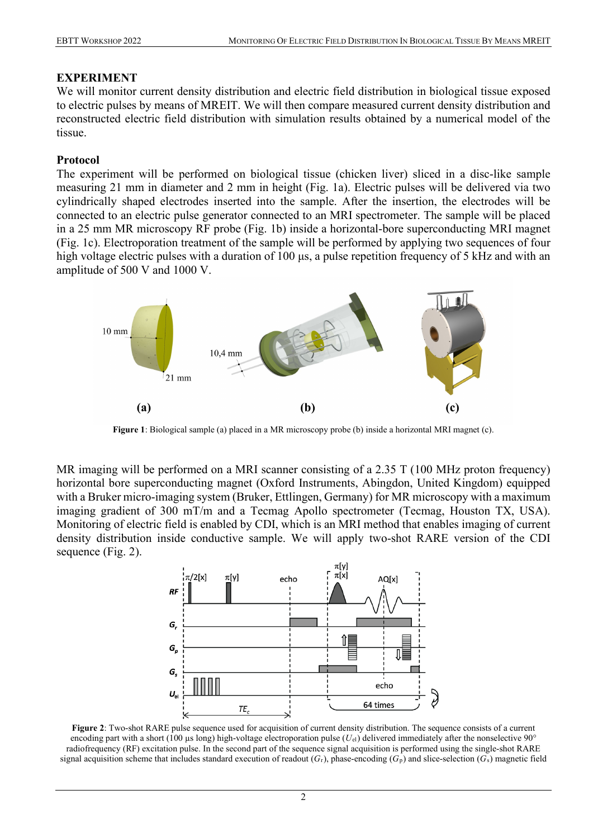### **EXPERIMENT**

We will monitor current density distribution and electric field distribution in biological tissue exposed to electric pulses by means of MREIT. We will then compare measured current density distribution and reconstructed electric field distribution with simulation results obtained by a numerical model of the tissue.

### **Protocol**

The experiment will be performed on biological tissue (chicken liver) sliced in a disc-like sample measuring 21 mm in diameter and 2 mm in height (Fig. 1a). Electric pulses will be delivered via two cylindrically shaped electrodes inserted into the sample. After the insertion, the electrodes will be connected to an electric pulse generator connected to an MRI spectrometer. The sample will be placed in a 25 mm MR microscopy RF probe (Fig. 1b) inside a horizontal-bore superconducting MRI magnet (Fig. 1c). Electroporation treatment of the sample will be performed by applying two sequences of four high voltage electric pulses with a duration of 100 μs, a pulse repetition frequency of 5 kHz and with an amplitude of 500 V and 1000 V.



**Figure 1**: Biological sample (a) placed in a MR microscopy probe (b) inside a horizontal MRI magnet (c).

MR imaging will be performed on a MRI scanner consisting of a 2.35 T (100 MHz proton frequency) horizontal bore superconducting magnet (Oxford Instruments, Abingdon, United Kingdom) equipped with a Bruker micro-imaging system (Bruker, Ettlingen, Germany) for MR microscopy with a maximum imaging gradient of 300 mT/m and a Tecmag Apollo spectrometer (Tecmag, Houston TX, USA). Monitoring of electric field is enabled by CDI, which is an MRI method that enables imaging of current density distribution inside conductive sample. We will apply two-shot RARE version of the CDI sequence (Fig. 2).



**Figure 2**: Two-shot RARE pulse sequence used for acquisition of current density distribution. The sequence consists of a current encoding part with a short (100 µs long) high-voltage electroporation pulse (*U*el) delivered immediately after the nonselective 90° radiofrequency (RF) excitation pulse. In the second part of the sequence signal acquisition is performed using the single-shot RARE signal acquisition scheme that includes standard execution of readout  $(G_r)$ , phase-encoding  $(G_p)$  and slice-selection  $(G_s)$  magnetic field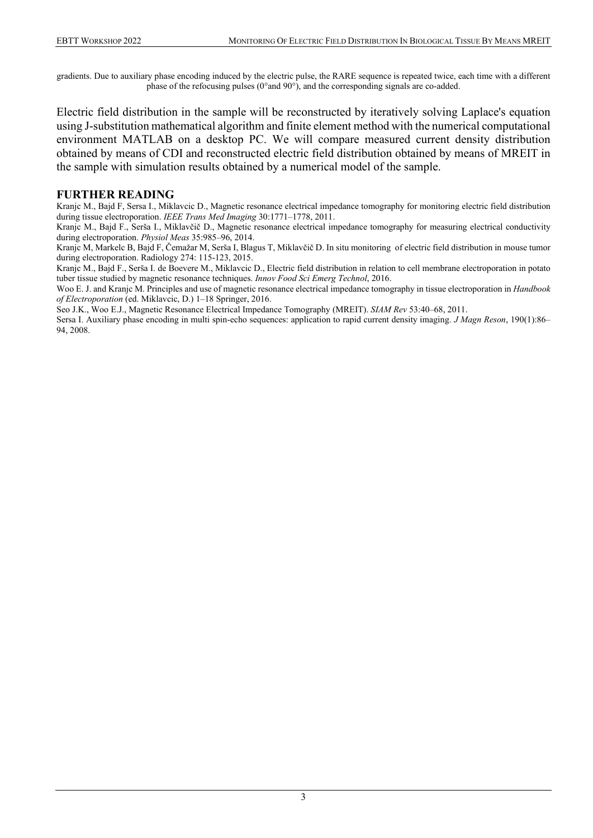gradients. Due to auxiliary phase encoding induced by the electric pulse, the RARE sequence is repeated twice, each time with a different phase of the refocusing pulses (0°and 90°), and the corresponding signals are co-added.

Electric field distribution in the sample will be reconstructed by iteratively solving Laplace's equation using J-substitution mathematical algorithm and finite element method with the numerical computational environment MATLAB on a desktop PC. We will compare measured current density distribution obtained by means of CDI and reconstructed electric field distribution obtained by means of MREIT in the sample with simulation results obtained by a numerical model of the sample.

#### **FURTHER READING**

Kranjc M., Bajd F, Sersa I., Miklavcic D., Magnetic resonance electrical impedance tomography for monitoring electric field distribution during tissue electroporation. *IEEE Trans Med Imaging* 30:1771–1778, 2011.

Kranjc M., Bajd F., Serša I., Miklavčič D., Magnetic resonance electrical impedance tomography for measuring electrical conductivity during electroporation. *Physiol Meas* 35:985–96, 2014.

Kranjc M, Markelc B, Bajd F, Čemažar M, Serša I, Blagus T, Miklavčič D. In situ monitoring of electric field distribution in mouse tumor during electroporation. Radiology 274: 115-123, 2015.

Kranjc M., Bajd F., Serša I. de Boevere M., Miklavcic D., Electric field distribution in relation to cell membrane electroporation in potato tuber tissue studied by magnetic resonance techniques. *Innov Food Sci Emerg Technol*, 2016.

Woo E. J. and Kranjc M. Principles and use of magnetic resonance electrical impedance tomography in tissue electroporation in *Handbook of Electroporation* (ed. Miklavcic, D.) 1–18 Springer, 2016.

Seo J.K., Woo E.J., Magnetic Resonance Electrical Impedance Tomography (MREIT). *SIAM Rev* 53:40–68, 2011.

Sersa I. Auxiliary phase encoding in multi spin-echo sequences: application to rapid current density imaging. *J Magn Reson*, 190(1):86– 94, 2008.